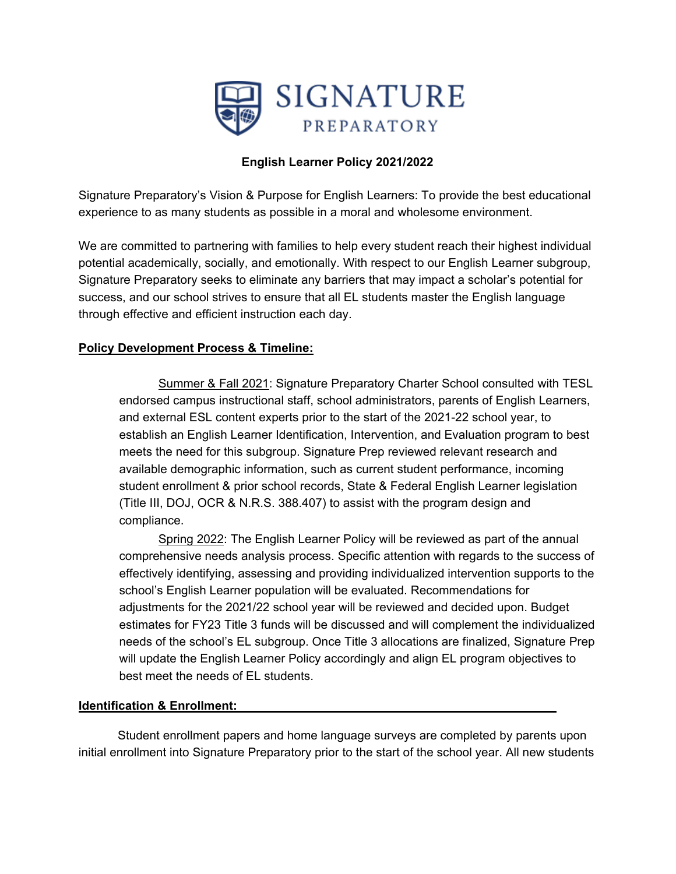

# **English Learner Policy 2021/2022**

Signature Preparatory's Vision & Purpose for English Learners: To provide the best educational experience to as many students as possible in a moral and wholesome environment.

We are committed to partnering with families to help every student reach their highest individual potential academically, socially, and emotionally. With respect to our English Learner subgroup, Signature Preparatory seeks to eliminate any barriers that may impact a scholar's potential for success, and our school strives to ensure that all EL students master the English language through effective and efficient instruction each day.

# **Policy Development Process & Timeline:**

Summer & Fall 2021: Signature Preparatory Charter School consulted with TESL endorsed campus instructional staff, school administrators, parents of English Learners, and external ESL content experts prior to the start of the 2021-22 school year, to establish an English Learner Identification, Intervention, and Evaluation program to best meets the need for this subgroup. Signature Prep reviewed relevant research and available demographic information, such as current student performance, incoming student enrollment & prior school records, State & Federal English Learner legislation (Title III, DOJ, OCR & N.R.S. 388.407) to assist with the program design and compliance.

Spring 2022: The English Learner Policy will be reviewed as part of the annual comprehensive needs analysis process. Specific attention with regards to the success of effectively identifying, assessing and providing individualized intervention supports to the school's English Learner population will be evaluated. Recommendations for adjustments for the 2021/22 school year will be reviewed and decided upon. Budget estimates for FY23 Title 3 funds will be discussed and will complement the individualized needs of the school's EL subgroup. Once Title 3 allocations are finalized, Signature Prep will update the English Learner Policy accordingly and align EL program objectives to best meet the needs of EL students.

# **Identification & Enrollment:**

Student enrollment papers and home language surveys are completed by parents upon initial enrollment into Signature Preparatory prior to the start of the school year. All new students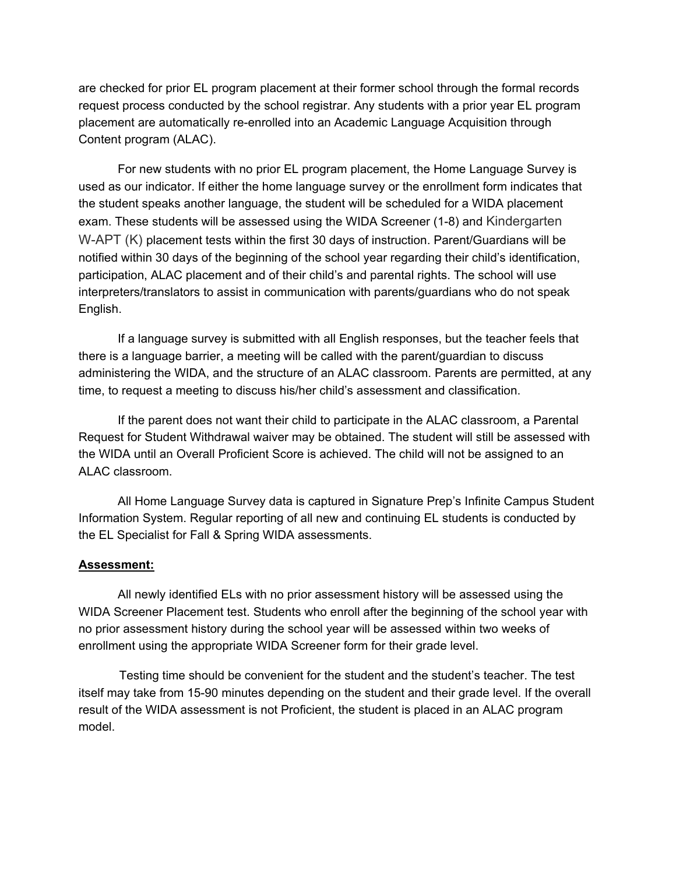are checked for prior EL program placement at their former school through the formal records request process conducted by the school registrar. Any students with a prior year EL program placement are automatically re-enrolled into an Academic Language Acquisition through Content program (ALAC).

For new students with no prior EL program placement, the Home Language Survey is used as our indicator. If either the home language survey or the enrollment form indicates that the student speaks another language, the student will be scheduled for a WIDA placement exam. These students will be assessed using the WIDA Screener (1-8) and Kindergarten W-APT (K) placement tests within the first 30 days of instruction. Parent/Guardians will be notified within 30 days of the beginning of the school year regarding their child's identification, participation, ALAC placement and of their child's and parental rights. The school will use interpreters/translators to assist in communication with parents/guardians who do not speak English.

If a language survey is submitted with all English responses, but the teacher feels that there is a language barrier, a meeting will be called with the parent/guardian to discuss administering the WIDA, and the structure of an ALAC classroom. Parents are permitted, at any time, to request a meeting to discuss his/her child's assessment and classification.

If the parent does not want their child to participate in the ALAC classroom, a Parental Request for Student Withdrawal waiver may be obtained. The student will still be assessed with the WIDA until an Overall Proficient Score is achieved. The child will not be assigned to an ALAC classroom.

All Home Language Survey data is captured in Signature Prep's Infinite Campus Student Information System. Regular reporting of all new and continuing EL students is conducted by the EL Specialist for Fall & Spring WIDA assessments.

#### **Assessment:**

All newly identified ELs with no prior assessment history will be assessed using the WIDA Screener Placement test. Students who enroll after the beginning of the school year with no prior assessment history during the school year will be assessed within two weeks of enrollment using the appropriate WIDA Screener form for their grade level.

Testing time should be convenient for the student and the student's teacher. The test itself may take from 15-90 minutes depending on the student and their grade level. If the overall result of the WIDA assessment is not Proficient, the student is placed in an ALAC program model.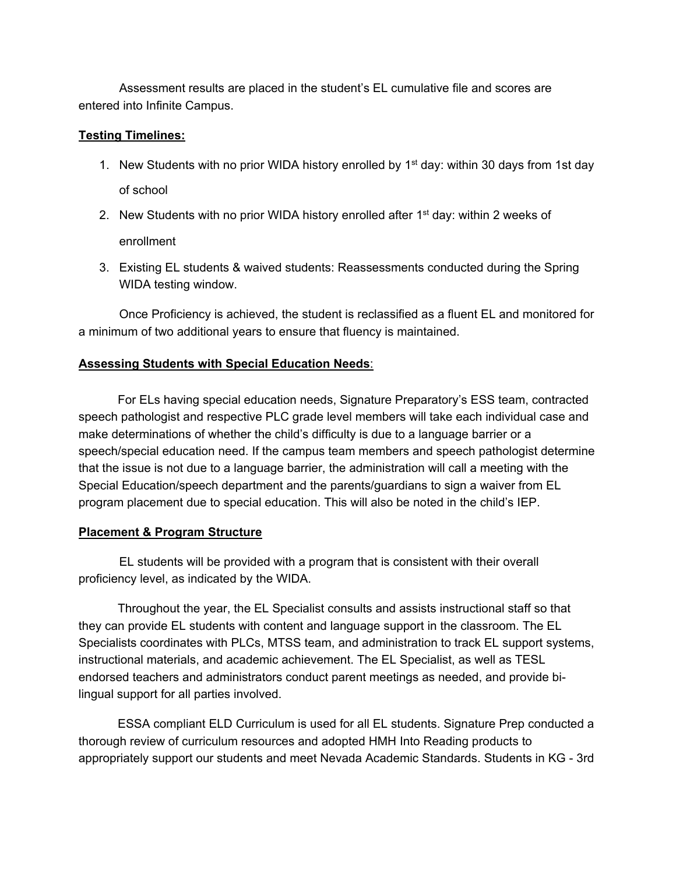Assessment results are placed in the student's EL cumulative file and scores are entered into Infinite Campus.

#### **Testing Timelines:**

- 1. New Students with no prior WIDA history enrolled by 1<sup>st</sup> day: within 30 days from 1st day of school
- 2. New Students with no prior WIDA history enrolled after  $1<sup>st</sup>$  day: within 2 weeks of enrollment
- 3. Existing EL students & waived students: Reassessments conducted during the Spring WIDA testing window.

Once Proficiency is achieved, the student is reclassified as a fluent EL and monitored for a minimum of two additional years to ensure that fluency is maintained.

### **Assessing Students with Special Education Needs**:

For ELs having special education needs, Signature Preparatory's ESS team, contracted speech pathologist and respective PLC grade level members will take each individual case and make determinations of whether the child's difficulty is due to a language barrier or a speech/special education need. If the campus team members and speech pathologist determine that the issue is not due to a language barrier, the administration will call a meeting with the Special Education/speech department and the parents/guardians to sign a waiver from EL program placement due to special education. This will also be noted in the child's IEP.

### **Placement & Program Structure**

EL students will be provided with a program that is consistent with their overall proficiency level, as indicated by the WIDA.

Throughout the year, the EL Specialist consults and assists instructional staff so that they can provide EL students with content and language support in the classroom. The EL Specialists coordinates with PLCs, MTSS team, and administration to track EL support systems, instructional materials, and academic achievement. The EL Specialist, as well as TESL endorsed teachers and administrators conduct parent meetings as needed, and provide bilingual support for all parties involved.

ESSA compliant ELD Curriculum is used for all EL students. Signature Prep conducted a thorough review of curriculum resources and adopted HMH Into Reading products to appropriately support our students and meet Nevada Academic Standards. Students in KG - 3rd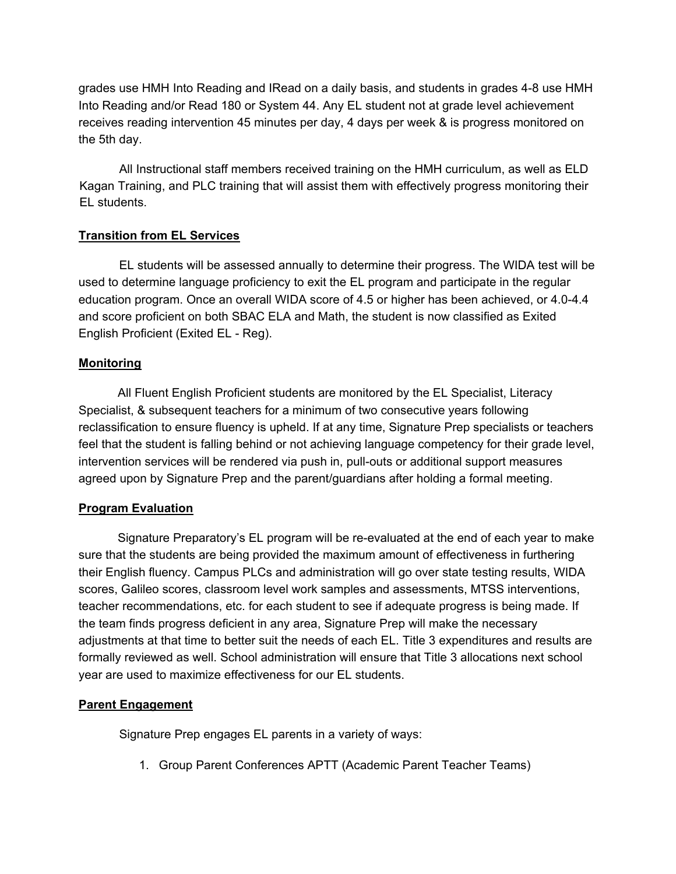grades use HMH Into Reading and IRead on a daily basis, and students in grades 4-8 use HMH Into Reading and/or Read 180 or System 44. Any EL student not at grade level achievement receives reading intervention 45 minutes per day, 4 days per week & is progress monitored on the 5th day.

All Instructional staff members received training on the HMH curriculum, as well as ELD Kagan Training, and PLC training that will assist them with effectively progress monitoring their EL students.

# **Transition from EL Services**

EL students will be assessed annually to determine their progress. The WIDA test will be used to determine language proficiency to exit the EL program and participate in the regular education program. Once an overall WIDA score of 4.5 or higher has been achieved, or 4.0-4.4 and score proficient on both SBAC ELA and Math, the student is now classified as Exited English Proficient (Exited EL - Reg).

### **Monitoring**

All Fluent English Proficient students are monitored by the EL Specialist, Literacy Specialist, & subsequent teachers for a minimum of two consecutive years following reclassification to ensure fluency is upheld. If at any time, Signature Prep specialists or teachers feel that the student is falling behind or not achieving language competency for their grade level, intervention services will be rendered via push in, pull-outs or additional support measures agreed upon by Signature Prep and the parent/guardians after holding a formal meeting.

# **Program Evaluation**

Signature Preparatory's EL program will be re-evaluated at the end of each year to make sure that the students are being provided the maximum amount of effectiveness in furthering their English fluency. Campus PLCs and administration will go over state testing results, WIDA scores, Galileo scores, classroom level work samples and assessments, MTSS interventions, teacher recommendations, etc. for each student to see if adequate progress is being made. If the team finds progress deficient in any area, Signature Prep will make the necessary adjustments at that time to better suit the needs of each EL. Title 3 expenditures and results are formally reviewed as well. School administration will ensure that Title 3 allocations next school year are used to maximize effectiveness for our EL students.

# **Parent Engagement**

Signature Prep engages EL parents in a variety of ways:

1. Group Parent Conferences APTT (Academic Parent Teacher Teams)